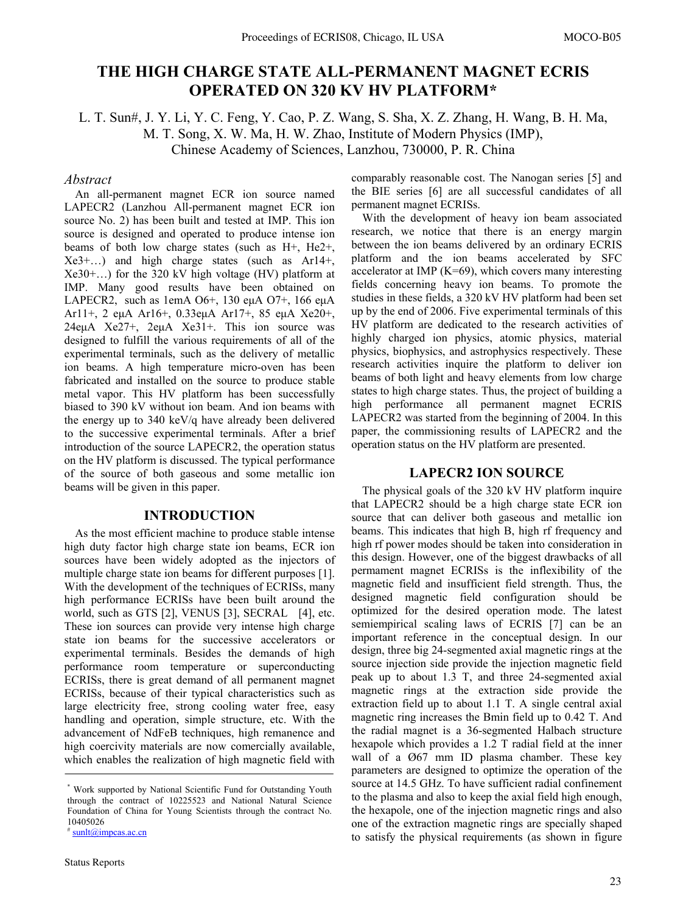# **THE HIGH CHARGE STATE ALL-PERMANENT MAGNET ECRIS OPERATED ON 320 KV HV PLATFORM\***

L. T. Sun#, J. Y. Li, Y. C. Feng, Y. Cao, P. Z. Wang, S. Sha, X. Z. Zhang, H. Wang, B. H. Ma, M. T. Song, X. W. Ma, H. W. Zhao, Institute of Modern Physics (IMP), Chinese Academy of Sciences, Lanzhou, 730000, P. R. China

## *Abstract*

An all-permanent magnet ECR ion source named LAPECR2 (Lanzhou All-permanent magnet ECR ion source No. 2) has been built and tested at IMP. This ion source is designed and operated to produce intense ion beams of both low charge states (such as H+, He2+, Xe3+…) and high charge states (such as Ar14+, Xe30+…) for the 320 kV high voltage (HV) platform at IMP. Many good results have been obtained on LAPECR2, such as 1emA O6+, 130 euA O7+, 166 euA Ar11+, 2 eμA Ar16+, 0.33eμA Ar17+, 85 eμA Xe20+, 24eμA Xe27+, 2eμA Xe31+. This ion source was designed to fulfill the various requirements of all of the experimental terminals, such as the delivery of metallic ion beams. A high temperature micro-oven has been fabricated and installed on the source to produce stable metal vapor. This HV platform has been successfully biased to 390 kV without ion beam. And ion beams with the energy up to 340 keV/q have already been delivered to the successive experimental terminals. After a brief introduction of the source LAPECR2, the operation status on the HV platform is discussed. The typical performance of the source of both gaseous and some metallic ion beams will be given in this paper.

### **INTRODUCTION**

As the most efficient machine to produce stable intense high duty factor high charge state ion beams, ECR ion sources have been widely adopted as the injectors of multiple charge state ion beams for different purposes [1]. With the development of the techniques of ECRISs, many high performance ECRISs have been built around the world, such as GTS [2], VENUS [3], SECRAL [4], etc. These ion sources can provide very intense high charge state ion beams for the successive accelerators or experimental terminals. Besides the demands of high performance room temperature or superconducting ECRISs, there is great demand of all permanent magnet ECRISs, because of their typical characteristics such as large electricity free, strong cooling water free, easy handling and operation, simple structure, etc. With the advancement of NdFeB techniques, high remanence and high coercivity materials are now comercially available, which enables the realization of high magnetic field with comparably reasonable cost. The Nanogan series [5] and the BIE series [6] are all successful candidates of all permanent magnet ECRISs.

With the development of heavy ion beam associated research, we notice that there is an energy margin between the ion beams delivered by an ordinary ECRIS platform and the ion beams accelerated by SFC accelerator at IMP  $(K=69)$ , which covers many interesting fields concerning heavy ion beams. To promote the studies in these fields, a 320 kV HV platform had been set up by the end of 2006. Five experimental terminals of this HV platform are dedicated to the research activities of highly charged ion physics, atomic physics, material physics, biophysics, and astrophysics respectively. These research activities inquire the platform to deliver ion beams of both light and heavy elements from low charge states to high charge states. Thus, the project of building a high performance all permanent magnet ECRIS LAPECR2 was started from the beginning of 2004. In this paper, the commissioning results of LAPECR2 and the operation status on the HV platform are presented.

# **LAPECR2 ION SOURCE**

The physical goals of the 320 kV HV platform inquire that LAPECR2 should be a high charge state ECR ion source that can deliver both gaseous and metallic ion beams. This indicates that high B, high rf frequency and high rf power modes should be taken into consideration in this design. However, one of the biggest drawbacks of all permament magnet ECRISs is the inflexibility of the magnetic field and insufficient field strength. Thus, the designed magnetic field configuration should be optimized for the desired operation mode. The latest semiempirical scaling laws of ECRIS [7] can be an important reference in the conceptual design. In our design, three big 24-segmented axial magnetic rings at the source injection side provide the injection magnetic field peak up to about 1.3 T, and three 24-segmented axial magnetic rings at the extraction side provide the extraction field up to about 1.1 T. A single central axial magnetic ring increases the Bmin field up to 0.42 T. And the radial magnet is a 36-segmented Halbach structure hexapole which provides a 1.2 T radial field at the inner wall of a Ø67 mm ID plasma chamber. These key parameters are designed to optimize the operation of the source at 14.5 GHz. To have sufficient radial confinement to the plasma and also to keep the axial field high enough, the hexapole, one of the injection magnetic rings and also one of the extraction magnetic rings are specially shaped to satisfy the physical requirements (as shown in figure

<sup>\*</sup> Work supported by National Scientific Fund for Outstanding Youth through the contract of 10225523 and National Natural Science Foundation of China for Young Scientists through the contract No. 10405026

<sup>&</sup>lt;sup>#</sup> sunlt@impcas.ac.cn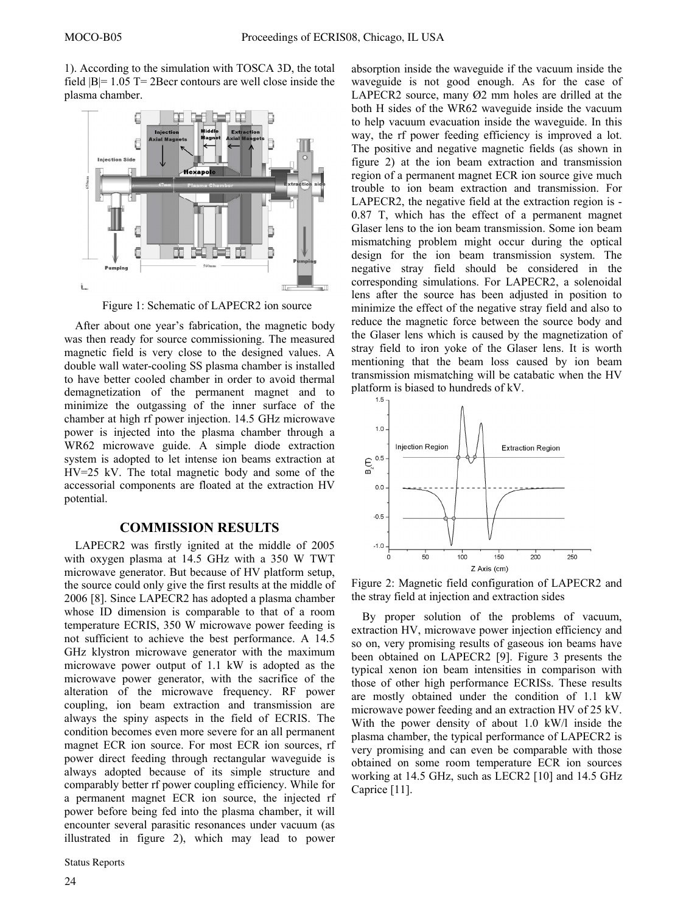1). According to the simulation with TOSCA 3D, the total field |B|= 1.05 T= 2Becr contours are well close inside the plasma chamber.



Figure 1: Schematic of LAPECR2 ion source

After about one year's fabrication, the magnetic body was then ready for source commissioning. The measured magnetic field is very close to the designed values. A double wall water-cooling SS plasma chamber is installed to have better cooled chamber in order to avoid thermal demagnetization of the permanent magnet and to minimize the outgassing of the inner surface of the chamber at high rf power injection. 14.5 GHz microwave power is injected into the plasma chamber through a WR62 microwave guide. A simple diode extraction system is adopted to let intense ion beams extraction at HV=25 kV. The total magnetic body and some of the accessorial components are floated at the extraction HV potential.

## **COMMISSION RESULTS**

LAPECR2 was firstly ignited at the middle of 2005 with oxygen plasma at 14.5 GHz with a 350 W TWT microwave generator. But because of HV platform setup, the source could only give the first results at the middle of 2006 [8]. Since LAPECR2 has adopted a plasma chamber whose ID dimension is comparable to that of a room temperature ECRIS, 350 W microwave power feeding is not sufficient to achieve the best performance. A 14.5 GHz klystron microwave generator with the maximum microwave power output of 1.1 kW is adopted as the microwave power generator, with the sacrifice of the alteration of the microwave frequency. RF power coupling, ion beam extraction and transmission are always the spiny aspects in the field of ECRIS. The condition becomes even more severe for an all permanent magnet ECR ion source. For most ECR ion sources, rf power direct feeding through rectangular waveguide is always adopted because of its simple structure and comparably better rf power coupling efficiency. While for a permanent magnet ECR ion source, the injected rf power before being fed into the plasma chamber, it will encounter several parasitic resonances under vacuum (as illustrated in figure 2), which may lead to power

Status Reports

absorption inside the waveguide if the vacuum inside the waveguide is not good enough. As for the case of LAPECR2 source, many Ø2 mm holes are drilled at the both H sides of the WR62 waveguide inside the vacuum to help vacuum evacuation inside the waveguide. In this way, the rf power feeding efficiency is improved a lot. The positive and negative magnetic fields (as shown in figure 2) at the ion beam extraction and transmission region of a permanent magnet ECR ion source give much trouble to ion beam extraction and transmission. For LAPECR2, the negative field at the extraction region is - 0.87 T, which has the effect of a permanent magnet Glaser lens to the ion beam transmission. Some ion beam mismatching problem might occur during the optical design for the ion beam transmission system. The negative stray field should be considered in the corresponding simulations. For LAPECR2, a solenoidal lens after the source has been adjusted in position to minimize the effect of the negative stray field and also to reduce the magnetic force between the source body and the Glaser lens which is caused by the magnetization of stray field to iron yoke of the Glaser lens. It is worth mentioning that the beam loss caused by ion beam transmission mismatching will be catabatic when the HV platform is biased to hundreds of kV.



Figure 2: Magnetic field configuration of LAPECR2 and the stray field at injection and extraction sides

By proper solution of the problems of vacuum, extraction HV, microwave power injection efficiency and so on, very promising results of gaseous ion beams have been obtained on LAPECR2 [9]. Figure 3 presents the typical xenon ion beam intensities in comparison with those of other high performance ECRISs. These results are mostly obtained under the condition of 1.1 kW microwave power feeding and an extraction HV of 25 kV. With the power density of about 1.0 kW/l inside the plasma chamber, the typical performance of LAPECR2 is very promising and can even be comparable with those obtained on some room temperature ECR ion sources working at 14.5 GHz, such as LECR2 [10] and 14.5 GHz Caprice [11].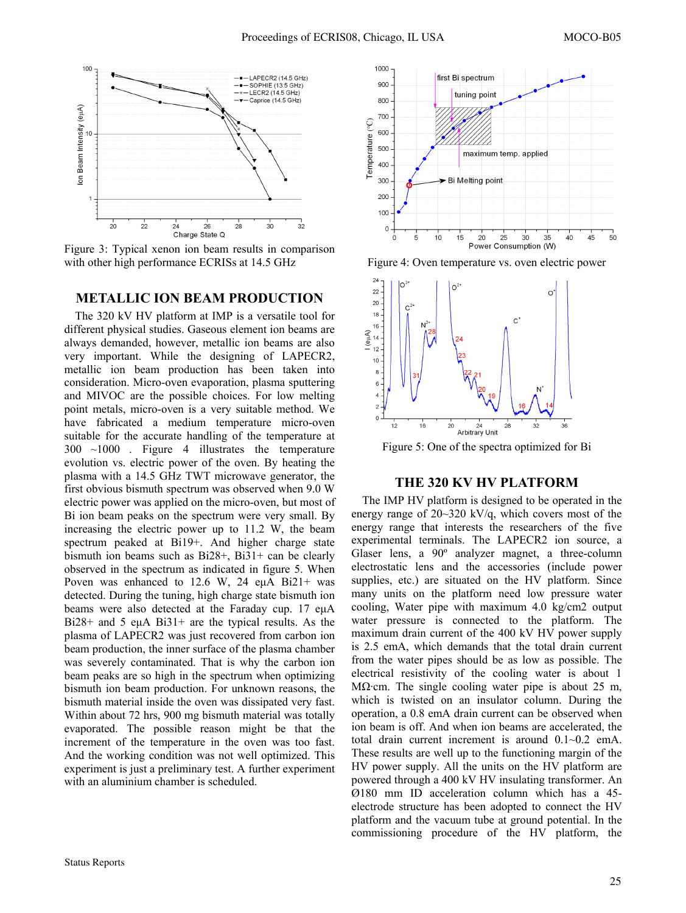

Figure 3: Typical xenon ion beam results in comparison with other high performance ECRISs at 14.5 GHz

#### **METALLIC ION BEAM PRODUCTION**

The 320 kV HV platform at IMP is a versatile tool for different physical studies. Gaseous element ion beams are always demanded, however, metallic ion beams are also very important. While the designing of LAPECR2, metallic ion beam production has been taken into consideration. Micro-oven evaporation, plasma sputtering and MIVOC are the possible choices. For low melting point metals, micro-oven is a very suitable method. We have fabricated a medium temperature micro-oven suitable for the accurate handling of the temperature at 300~1000. Figure 4 illustrates the temperature evolution vs. electric power of the oven. By heating the plasma with a 14.5 GHz TWT microwave generator, the first obvious bismuth spectrum was observed when 9.0 W electric power was applied on the micro-oven, but most of Bi ion beam peaks on the spectrum were very small. By increasing the electric power up to 11.2 W, the beam spectrum peaked at Bi19+. And higher charge state bismuth ion beams such as Bi28+, Bi31+ can be clearly observed in the spectrum as indicated in figure 5. When Poven was enhanced to 12.6 W, 24 eμA Bi21+ was detected. During the tuning, high charge state bismuth ion beams were also detected at the Faraday cup. 17 eμA Bi28+ and 5 euA Bi31+ are the typical results. As the plasma of LAPECR2 was just recovered from carbon ion beam production, the inner surface of the plasma chamber was severely contaminated. That is why the carbon ion beam peaks are so high in the spectrum when optimizing bismuth ion beam production. For unknown reasons, the bismuth material inside the oven was dissipated very fast. Within about 72 hrs, 900 mg bismuth material was totally evaporated. The possible reason might be that the increment of the temperature in the oven was too fast. And the working condition was not well optimized. This experiment is just a preliminary test. A further experiment with an aluminium chamber is scheduled.



Figure 4: Oven temperature vs. oven electric power



Figure 5: One of the spectra optimized for Bi

#### **THE 320 KV HV PLATFORM**

The IMP HV platform is designed to be operated in the energy range of 20~320 kV/q, which covers most of the energy range that interests the researchers of the five experimental terminals. The LAPECR2 ion source, a Glaser lens, a 90º analyzer magnet, a three-column electrostatic lens and the accessories (include power supplies, etc.) are situated on the HV platform. Since many units on the platform need low pressure water cooling, Water pipe with maximum 4.0 kg/cm2 output water pressure is connected to the platform. The maximum drain current of the 400 kV HV power supply is 2.5 emA, which demands that the total drain current from the water pipes should be as low as possible. The electrical resistivity of the cooling water is about 1 M $\Omega$ ·cm. The single cooling water pipe is about 25 m, which is twisted on an insulator column. During the operation, a 0.8 emA drain current can be observed when ion beam is off. And when ion beams are accelerated, the total drain current increment is around 0.1~0.2 emA. These results are well up to the functioning margin of the HV power supply. All the units on the HV platform are powered through a 400 kV HV insulating transformer. An Ø180 mm ID acceleration column which has a 45 electrode structure has been adopted to connect the HV platform and the vacuum tube at ground potential. In the commissioning procedure of the HV platform, the